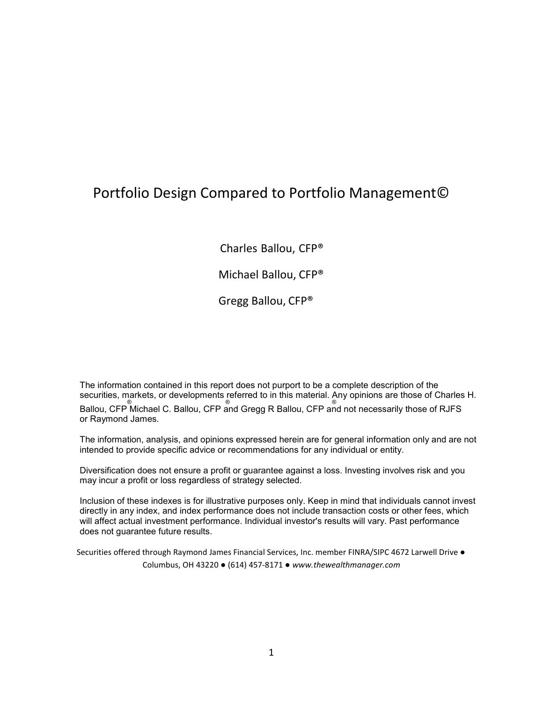## Portfolio Design Compared to Portfolio Management©

Charles Ballou, CFP®

Michael Ballou, CFP®

Gregg Ballou, CFP®

The information contained in this report does not purport to be a complete description of the securities, markets, or developments referred to in this material. Any opinions are those of Charles H.<br>Ballou, CFP Michael C. Ballou, CFP and Gregg R Ballou, CFP and not necessarily those of RJFS or Raymond James.

The information, analysis, and opinions expressed herein are for general information only and are not intended to provide specific advice or recommendations for any individual or entity.

Diversification does not ensure a profit or guarantee against a loss. Investing involves risk and you may incur a profit or loss regardless of strategy selected.

Inclusion of these indexes is for illustrative purposes only. Keep in mind that individuals cannot invest directly in any index, and index performance does not include transaction costs or other fees, which will affect actual investment performance. Individual investor's results will vary. Past performance does not guarantee future results.

Securities offered through Raymond James Financial Services, Inc. member FINRA/SIPC 4672 Larwell Drive ● Columbus, OH 43220 ● (614) 457-8171 ● *[www.thewealthmanager.com](http://www.thewealthmanager.com/)*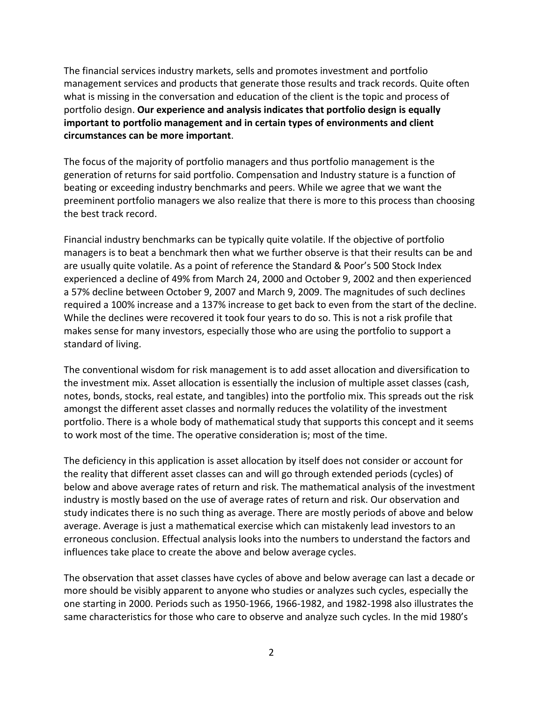The financial services industry markets, sells and promotes investment and portfolio management services and products that generate those results and track records. Quite often what is missing in the conversation and education of the client is the topic and process of portfolio design. **Our experience and analysis indicates that portfolio design is equally important to portfolio management and in certain types of environments and client circumstances can be more important**.

The focus of the majority of portfolio managers and thus portfolio management is the generation of returns for said portfolio. Compensation and Industry stature is a function of beating or exceeding industry benchmarks and peers. While we agree that we want the preeminent portfolio managers we also realize that there is more to this process than choosing the best track record.

Financial industry benchmarks can be typically quite volatile. If the objective of portfolio managers is to beat a benchmark then what we further observe is that their results can be and are usually quite volatile. As a point of reference the Standard & Poor's 500 Stock Index experienced a decline of 49% from March 24, 2000 and October 9, 2002 and then experienced a 57% decline between October 9, 2007 and March 9, 2009. The magnitudes of such declines required a 100% increase and a 137% increase to get back to even from the start of the decline. While the declines were recovered it took four years to do so. This is not a risk profile that makes sense for many investors, especially those who are using the portfolio to support a standard of living.

The conventional wisdom for risk management is to add asset allocation and diversification to the investment mix. Asset allocation is essentially the inclusion of multiple asset classes (cash, notes, bonds, stocks, real estate, and tangibles) into the portfolio mix. This spreads out the risk amongst the different asset classes and normally reduces the volatility of the investment portfolio. There is a whole body of mathematical study that supports this concept and it seems to work most of the time. The operative consideration is; most of the time.

The deficiency in this application is asset allocation by itself does not consider or account for the reality that different asset classes can and will go through extended periods (cycles) of below and above average rates of return and risk. The mathematical analysis of the investment industry is mostly based on the use of average rates of return and risk. Our observation and study indicates there is no such thing as average. There are mostly periods of above and below average. Average is just a mathematical exercise which can mistakenly lead investors to an erroneous conclusion. Effectual analysis looks into the numbers to understand the factors and influences take place to create the above and below average cycles.

The observation that asset classes have cycles of above and below average can last a decade or more should be visibly apparent to anyone who studies or analyzes such cycles, especially the one starting in 2000. Periods such as 1950-1966, 1966-1982, and 1982-1998 also illustrates the same characteristics for those who care to observe and analyze such cycles. In the mid 1980's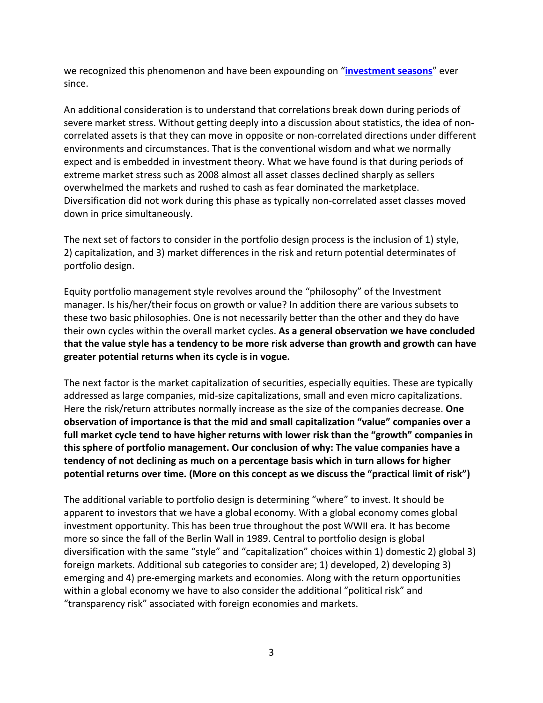we recognized this phenomenon and have been expounding on "**[investment seasons](https://www.raymondjames.com/theballoufamilyoffice/resources/our-blog/2019/08/17/Investment-Seasons)**" ever since.

An additional consideration is to understand that correlations break down during periods of severe market stress. Without getting deeply into a discussion about statistics, the idea of noncorrelated assets is that they can move in opposite or non-correlated directions under different environments and circumstances. That is the conventional wisdom and what we normally expect and is embedded in investment theory. What we have found is that during periods of extreme market stress such as 2008 almost all asset classes declined sharply as sellers overwhelmed the markets and rushed to cash as fear dominated the marketplace. Diversification did not work during this phase as typically non-correlated asset classes moved down in price simultaneously.

The next set of factors to consider in the portfolio design process is the inclusion of 1) style, 2) capitalization, and 3) market differences in the risk and return potential determinates of portfolio design.

Equity portfolio management style revolves around the "philosophy" of the Investment manager. Is his/her/their focus on growth or value? In addition there are various subsets to these two basic philosophies. One is not necessarily better than the other and they do have their own cycles within the overall market cycles. **As a general observation we have concluded that the value style has a tendency to be more risk adverse than growth and growth can have greater potential returns when its cycle is in vogue.**

The next factor is the market capitalization of securities, especially equities. These are typically addressed as large companies, mid-size capitalizations, small and even micro capitalizations. Here the risk/return attributes normally increase as the size of the companies decrease. **One observation of importance is that the mid and small capitalization "value" companies over a full market cycle tend to have higher returns with lower risk than the "growth" companies in this sphere of portfolio management. Our conclusion of why: The value companies have a tendency of not declining as much on a percentage basis which in turn allows for higher potential returns over time. (More on this concept as we discuss the "practical limit of risk")**

The additional variable to portfolio design is determining "where" to invest. It should be apparent to investors that we have a global economy. With a global economy comes global investment opportunity. This has been true throughout the post WWII era. It has become more so since the fall of the Berlin Wall in 1989. Central to portfolio design is global diversification with the same "style" and "capitalization" choices within 1) domestic 2) global 3) foreign markets. Additional sub categories to consider are; 1) developed, 2) developing 3) emerging and 4) pre-emerging markets and economies. Along with the return opportunities within a global economy we have to also consider the additional "political risk" and "transparency risk" associated with foreign economies and markets.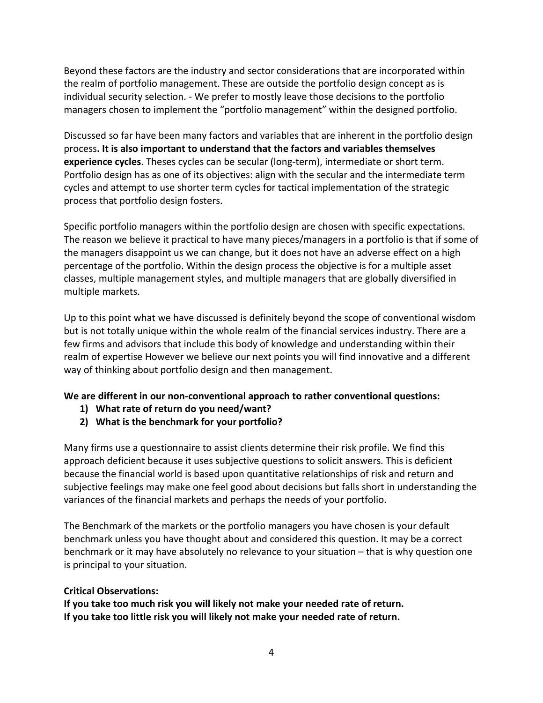Beyond these factors are the industry and sector considerations that are incorporated within the realm of portfolio management. These are outside the portfolio design concept as is individual security selection. - We prefer to mostly leave those decisions to the portfolio managers chosen to implement the "portfolio management" within the designed portfolio.

Discussed so far have been many factors and variables that are inherent in the portfolio design process**. It is also important to understand that the factors and variables themselves experience cycles**. Theses cycles can be secular (long-term), intermediate or short term. Portfolio design has as one of its objectives: align with the secular and the intermediate term cycles and attempt to use shorter term cycles for tactical implementation of the strategic process that portfolio design fosters.

Specific portfolio managers within the portfolio design are chosen with specific expectations. The reason we believe it practical to have many pieces/managers in a portfolio is that if some of the managers disappoint us we can change, but it does not have an adverse effect on a high percentage of the portfolio. Within the design process the objective is for a multiple asset classes, multiple management styles, and multiple managers that are globally diversified in multiple markets.

Up to this point what we have discussed is definitely beyond the scope of conventional wisdom but is not totally unique within the whole realm of the financial services industry. There are a few firms and advisors that include this body of knowledge and understanding within their realm of expertise However we believe our next points you will find innovative and a different way of thinking about portfolio design and then management.

## **We are different in our non-conventional approach to rather conventional questions:**

- **1) What rate of return do you need/want?**
- **2) What is the benchmark for your portfolio?**

Many firms use a questionnaire to assist clients determine their risk profile. We find this approach deficient because it uses subjective questions to solicit answers. This is deficient because the financial world is based upon quantitative relationships of risk and return and subjective feelings may make one feel good about decisions but falls short in understanding the variances of the financial markets and perhaps the needs of your portfolio.

The Benchmark of the markets or the portfolio managers you have chosen is your default benchmark unless you have thought about and considered this question. It may be a correct benchmark or it may have absolutely no relevance to your situation – that is why question one is principal to your situation.

## **Critical Observations:**

**If you take too much risk you will likely not make your needed rate of return. If you take too little risk you will likely not make your needed rate of return.**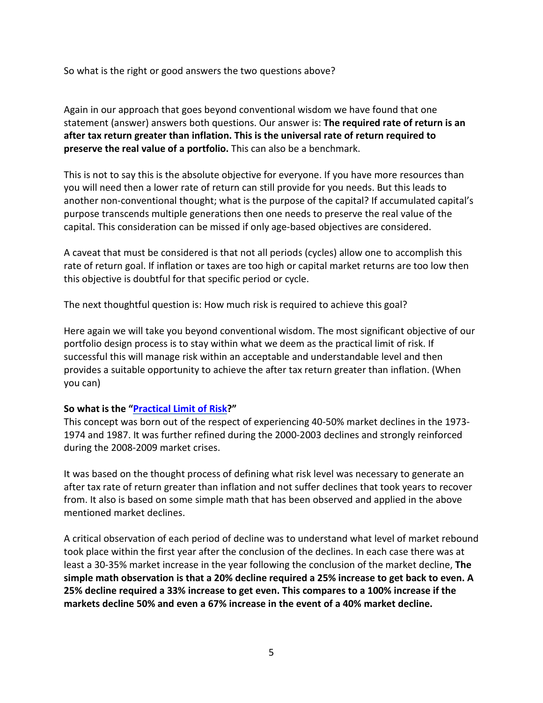So what is the right or good answers the two questions above?

Again in our approach that goes beyond conventional wisdom we have found that one statement (answer) answers both questions. Our answer is: **The required rate of return is an after tax return greater than inflation. This is the universal rate of return required to preserve the real value of a portfolio.** This can also be a benchmark.

This is not to say this is the absolute objective for everyone. If you have more resources than you will need then a lower rate of return can still provide for you needs. But this leads to another non-conventional thought; what is the purpose of the capital? If accumulated capital's purpose transcends multiple generations then one needs to preserve the real value of the capital. This consideration can be missed if only age-based objectives are considered.

A caveat that must be considered is that not all periods (cycles) allow one to accomplish this rate of return goal. If inflation or taxes are too high or capital market returns are too low then this objective is doubtful for that specific period or cycle.

The next thoughtful question is: How much risk is required to achieve this goal?

Here again we will take you beyond conventional wisdom. The most significant objective of our portfolio design process is to stay within what we deem as the practical limit of risk. If successful this will manage risk within an acceptable and understandable level and then provides a suitable opportunity to achieve the after tax return greater than inflation. (When you can)

## **So what is the ["Practical Limit of Risk?](https://www.raymondjames.com/theballoufamilyoffice/resources/our-blog/2019/08/15/Understanding-the-Practical-Limits-of-Risk)"**

This concept was born out of the respect of experiencing 40-50% market declines in the 1973- 1974 and 1987. It was further refined during the 2000-2003 declines and strongly reinforced during the 2008-2009 market crises.

It was based on the thought process of defining what risk level was necessary to generate an after tax rate of return greater than inflation and not suffer declines that took years to recover from. It also is based on some simple math that has been observed and applied in the above mentioned market declines.

A critical observation of each period of decline was to understand what level of market rebound took place within the first year after the conclusion of the declines. In each case there was at least a 30-35% market increase in the year following the conclusion of the market decline, **The simple math observation is that a 20% decline required a 25% increase to get back to even. A 25% decline required a 33% increase to get even. This compares to a 100% increase if the markets decline 50% and even a 67% increase in the event of a 40% market decline.**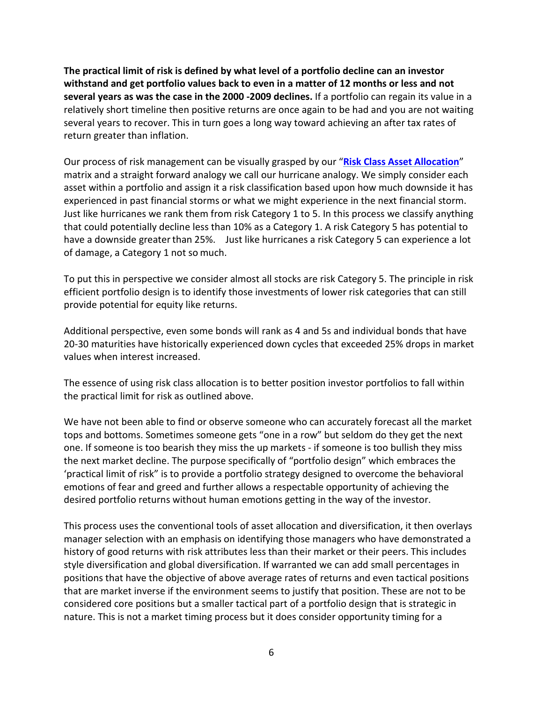**The practical limit of risk is defined by what level of a portfolio decline can an investor withstand and get portfolio values back to even in a matter of 12 months or less and not several years as was the case in the 2000 -2009 declines.** If a portfolio can regain its value in a relatively short timeline then positive returns are once again to be had and you are not waiting several years to recover. This in turn goes a long way toward achieving an after tax rates of return greater than inflation.

Our process of risk management can be visually grasped by our "**[Risk Class Asset Allocation](https://www.raymondjames.com/theballoufamilyoffice/resources/our-blog/2019/08/12/Risk-Class-Category-Asset-Allocation)**" matrix and a straight forward analogy we call our hurricane analogy. We simply consider each asset within a portfolio and assign it a risk classification based upon how much downside it has experienced in past financial storms or what we might experience in the next financial storm. Just like hurricanes we rank them from risk Category 1 to 5. In this process we classify anything that could potentially decline less than 10% as a Category 1. A risk Category 5 has potential to have a downside greater than 25%. Just like hurricanes a risk Category 5 can experience a lot of damage, a Category 1 not so much.

To put this in perspective we consider almost all stocks are risk Category 5. The principle in risk efficient portfolio design is to identify those investments of lower risk categories that can still provide potential for equity like returns.

Additional perspective, even some bonds will rank as 4 and 5s and individual bonds that have 20-30 maturities have historically experienced down cycles that exceeded 25% drops in market values when interest increased.

The essence of using risk class allocation is to better position investor portfolios to fall within the practical limit for risk as outlined above.

We have not been able to find or observe someone who can accurately forecast all the market tops and bottoms. Sometimes someone gets "one in a row" but seldom do they get the next one. If someone is too bearish they miss the up markets - if someone is too bullish they miss the next market decline. The purpose specifically of "portfolio design" which embraces the 'practical limit of risk" is to provide a portfolio strategy designed to overcome the behavioral emotions of fear and greed and further allows a respectable opportunity of achieving the desired portfolio returns without human emotions getting in the way of the investor.

This process uses the conventional tools of asset allocation and diversification, it then overlays manager selection with an emphasis on identifying those managers who have demonstrated a history of good returns with risk attributes less than their market or their peers. This includes style diversification and global diversification. If warranted we can add small percentages in positions that have the objective of above average rates of returns and even tactical positions that are market inverse if the environment seems to justify that position. These are not to be considered core positions but a smaller tactical part of a portfolio design that is strategic in nature. This is not a market timing process but it does consider opportunity timing for a